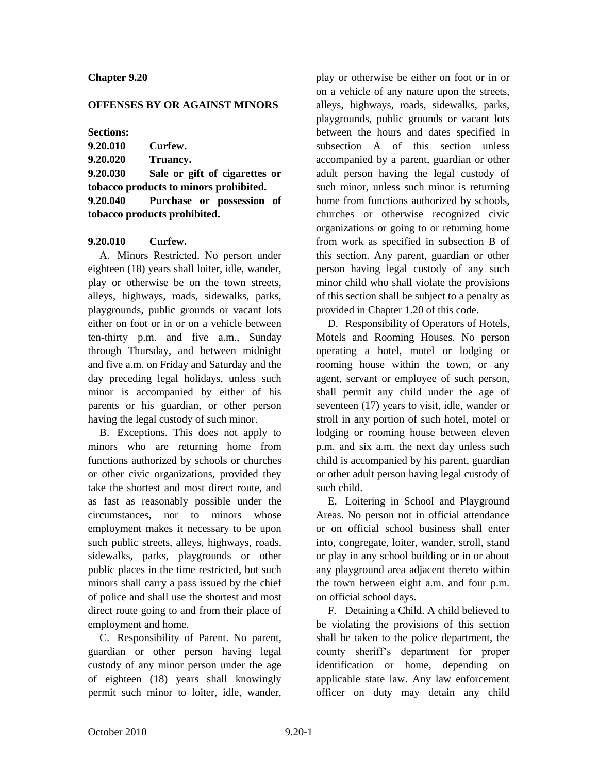### **Chapter 9.20**

#### **OFFENSES BY OR AGAINST MINORS**

**Sections:**

| 9.20.010    | Curfew. |
|-------------|---------|
| 8 A A A A A | <b></b> |

**9.20.020 Truancy.**

**9.20.030 Sale or gift of cigarettes or tobacco products to minors prohibited. 9.20.040 Purchase or possession of tobacco products prohibited.**

### **9.20.010 Curfew.**

A. Minors Restricted. No person under eighteen (18) years shall loiter, idle, wander, play or otherwise be on the town streets, alleys, highways, roads, sidewalks, parks, playgrounds, public grounds or vacant lots either on foot or in or on a vehicle between ten-thirty p.m. and five a.m., Sunday through Thursday, and between midnight and five a.m. on Friday and Saturday and the day preceding legal holidays, unless such minor is accompanied by either of his parents or his guardian, or other person having the legal custody of such minor.

B. Exceptions. This does not apply to minors who are returning home from functions authorized by schools or churches or other civic organizations, provided they take the shortest and most direct route, and as fast as reasonably possible under the circumstances, nor to minors whose employment makes it necessary to be upon such public streets, alleys, highways, roads, sidewalks, parks, playgrounds or other public places in the time restricted, but such minors shall carry a pass issued by the chief of police and shall use the shortest and most direct route going to and from their place of employment and home.

C. Responsibility of Parent. No parent, guardian or other person having legal custody of any minor person under the age of eighteen (18) years shall knowingly permit such minor to loiter, idle, wander,

play or otherwise be either on foot or in or on a vehicle of any nature upon the streets, alleys, highways, roads, sidewalks, parks, playgrounds, public grounds or vacant lots between the hours and dates specified in subsection A of this section unless accompanied by a parent, guardian or other adult person having the legal custody of such minor, unless such minor is returning home from functions authorized by schools, churches or otherwise recognized civic organizations or going to or returning home from work as specified in subsection B of this section. Any parent, guardian or other person having legal custody of any such minor child who shall violate the provisions of this section shall be subject to a penalty as provided in Chapter 1.20 of this code.

D. Responsibility of Operators of Hotels, Motels and Rooming Houses. No person operating a hotel, motel or lodging or rooming house within the town, or any agent, servant or employee of such person, shall permit any child under the age of seventeen (17) years to visit, idle, wander or stroll in any portion of such hotel, motel or lodging or rooming house between eleven p.m. and six a.m. the next day unless such child is accompanied by his parent, guardian or other adult person having legal custody of such child.

E. Loitering in School and Playground Areas. No person not in official attendance or on official school business shall enter into, congregate, loiter, wander, stroll, stand or play in any school building or in or about any playground area adjacent thereto within the town between eight a.m. and four p.m. on official school days.

F. Detaining a Child. A child believed to be violating the provisions of this section shall be taken to the police department, the county sheriff's department for proper identification or home, depending on applicable state law. Any law enforcement officer on duty may detain any child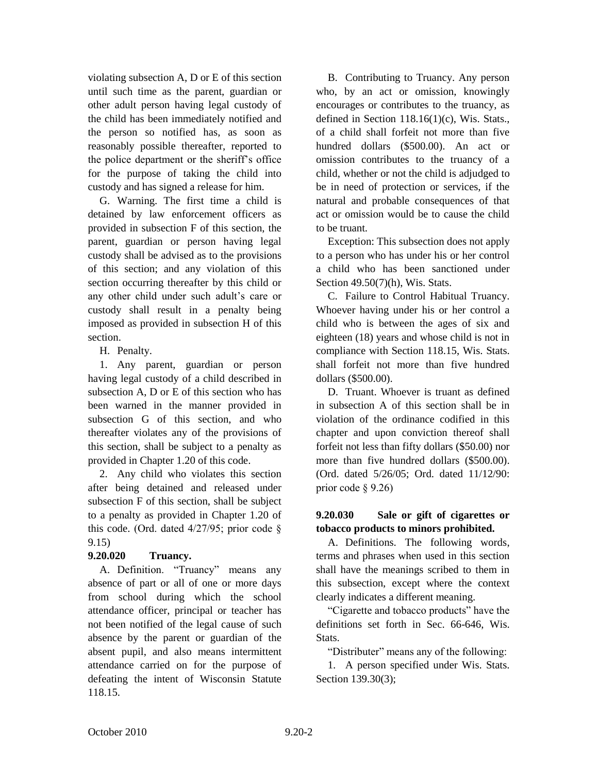violating subsection A, D or E of this section until such time as the parent, guardian or other adult person having legal custody of the child has been immediately notified and the person so notified has, as soon as reasonably possible thereafter, reported to the police department or the sheriff's office for the purpose of taking the child into custody and has signed a release for him.

G. Warning. The first time a child is detained by law enforcement officers as provided in subsection F of this section, the parent, guardian or person having legal custody shall be advised as to the provisions of this section; and any violation of this section occurring thereafter by this child or any other child under such adult's care or custody shall result in a penalty being imposed as provided in subsection H of this section.

H. Penalty.

1. Any parent, guardian or person having legal custody of a child described in subsection A, D or E of this section who has been warned in the manner provided in subsection G of this section, and who thereafter violates any of the provisions of this section, shall be subject to a penalty as provided in Chapter 1.20 of this code.

2. Any child who violates this section after being detained and released under subsection F of this section, shall be subject to a penalty as provided in Chapter 1.20 of this code. (Ord. dated  $4/27/95$ ; prior code § 9.15)

# **9.20.020 Truancy.**

A. Definition. "Truancy" means any absence of part or all of one or more days from school during which the school attendance officer, principal or teacher has not been notified of the legal cause of such absence by the parent or guardian of the absent pupil, and also means intermittent attendance carried on for the purpose of defeating the intent of Wisconsin Statute 118.15.

B. Contributing to Truancy. Any person who, by an act or omission, knowingly encourages or contributes to the truancy, as defined in Section 118.16(1)(c), Wis. Stats., of a child shall forfeit not more than five hundred dollars (\$500.00). An act or omission contributes to the truancy of a child, whether or not the child is adjudged to be in need of protection or services, if the natural and probable consequences of that act or omission would be to cause the child to be truant.

Exception: This subsection does not apply to a person who has under his or her control a child who has been sanctioned under Section 49.50(7)(h), Wis. Stats.

C. Failure to Control Habitual Truancy. Whoever having under his or her control a child who is between the ages of six and eighteen (18) years and whose child is not in compliance with Section 118.15, Wis. Stats. shall forfeit not more than five hundred dollars (\$500.00).

D. Truant. Whoever is truant as defined in subsection A of this section shall be in violation of the ordinance codified in this chapter and upon conviction thereof shall forfeit not less than fifty dollars (\$50.00) nor more than five hundred dollars (\$500.00). (Ord. dated 5/26/05; Ord. dated 11/12/90: prior code § 9.26)

## **9.20.030 Sale or gift of cigarettes or tobacco products to minors prohibited.**

A. Definitions. The following words, terms and phrases when used in this section shall have the meanings scribed to them in this subsection, except where the context clearly indicates a different meaning.

"Cigarette and tobacco products" have the definitions set forth in Sec. 66-646, Wis. Stats.

"Distributer" means any of the following:

1. A person specified under Wis. Stats. Section 139.30(3);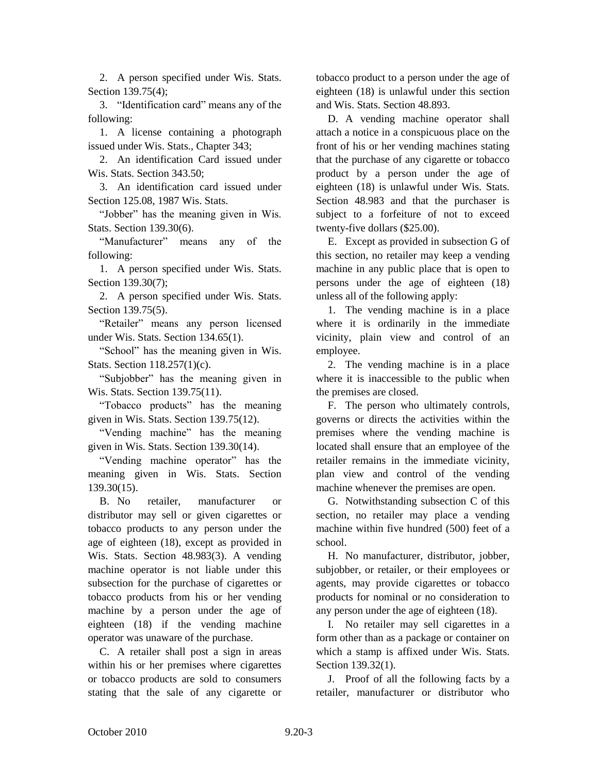2. A person specified under Wis. Stats. Section 139.75(4);

3. "Identification card" means any of the following:

1. A license containing a photograph issued under Wis. Stats., Chapter 343;

2. An identification Card issued under Wis. Stats. Section 343.50;

3. An identification card issued under Section 125.08, 1987 Wis. Stats.

"Jobber" has the meaning given in Wis. Stats. Section 139.30(6).

"Manufacturer" means any of the following:

1. A person specified under Wis. Stats. Section 139.30(7);

2. A person specified under Wis. Stats. Section 139.75(5).

"Retailer" means any person licensed under Wis. Stats. Section 134.65(1).

"School" has the meaning given in Wis. Stats. Section 118.257(1)(c).

"Subjobber" has the meaning given in Wis. Stats. Section 139.75(11).

"Tobacco products" has the meaning given in Wis. Stats. Section 139.75(12).

"Vending machine" has the meaning given in Wis. Stats. Section 139.30(14).

"Vending machine operator" has the meaning given in Wis. Stats. Section 139.30(15).

B. No retailer, manufacturer or distributor may sell or given cigarettes or tobacco products to any person under the age of eighteen (18), except as provided in Wis. Stats. Section 48.983(3). A vending machine operator is not liable under this subsection for the purchase of cigarettes or tobacco products from his or her vending machine by a person under the age of eighteen (18) if the vending machine operator was unaware of the purchase.

C. A retailer shall post a sign in areas within his or her premises where cigarettes or tobacco products are sold to consumers stating that the sale of any cigarette or

tobacco product to a person under the age of eighteen (18) is unlawful under this section and Wis. Stats. Section 48.893.

D. A vending machine operator shall attach a notice in a conspicuous place on the front of his or her vending machines stating that the purchase of any cigarette or tobacco product by a person under the age of eighteen (18) is unlawful under Wis. Stats. Section 48.983 and that the purchaser is subject to a forfeiture of not to exceed twenty-five dollars (\$25.00).

E. Except as provided in subsection G of this section, no retailer may keep a vending machine in any public place that is open to persons under the age of eighteen (18) unless all of the following apply:

1. The vending machine is in a place where it is ordinarily in the immediate vicinity, plain view and control of an employee.

2. The vending machine is in a place where it is inaccessible to the public when the premises are closed.

F. The person who ultimately controls, governs or directs the activities within the premises where the vending machine is located shall ensure that an employee of the retailer remains in the immediate vicinity, plan view and control of the vending machine whenever the premises are open.

G. Notwithstanding subsection C of this section, no retailer may place a vending machine within five hundred (500) feet of a school.

H. No manufacturer, distributor, jobber, subjobber, or retailer, or their employees or agents, may provide cigarettes or tobacco products for nominal or no consideration to any person under the age of eighteen (18).

I. No retailer may sell cigarettes in a form other than as a package or container on which a stamp is affixed under Wis. Stats. Section 139.32(1).

J. Proof of all the following facts by a retailer, manufacturer or distributor who